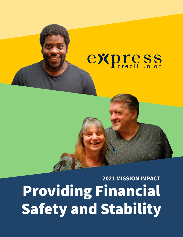# express

Providing Financial Safety and Stability **2021 MISSION IMPACT**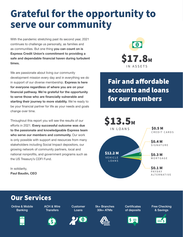### **Grateful for the opportunity to serve our community**

With the pandemic stretching past its second year, 2021 continues to challenge us personally, as families and as communities. But one thing **you can count on is Express Credit Union's commitment to providing a safe and dependable financial haven during turbulent times.**

We are passionate about living our community development mission every day and in everything we do in support of our diverse membership. **Express is here for everyone regardless of where you are on your financial pathway. We're grateful for the opportunity to serve those who are financially vulnerable and starting their journey to more stability.** We're ready to be your financial partner for life as your needs and goals change over time.

Throughout this report you will see the results of our efforts in 2021. **Every successful outcome was due to the passionate and knowledgeable Express team who serve our members and community.** Our work is only possible with support and resources from many stakeholders including Social Impact depositors, our growing network of community partners, local and national nonprofits, and government programs such as the US Treasury's CDFI Fund.

In solidarity, **Paul Baudin, CEO**



Fair and affordable accounts and loans for our members



#### Our Services

Online & Mobile Banking

ACH & Wire **Transfers** 







**Customer** Loans



**Certificates** of deposits



Free Checking & Savings

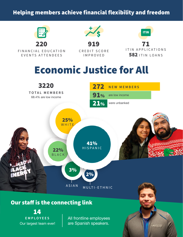#### Helping members achieve financial flexibility and freedom



#### Our staff is the connecting link

**EMPLOYEES** 14 Our largest team ever!

All frontline employees are Spanish speakers.

express